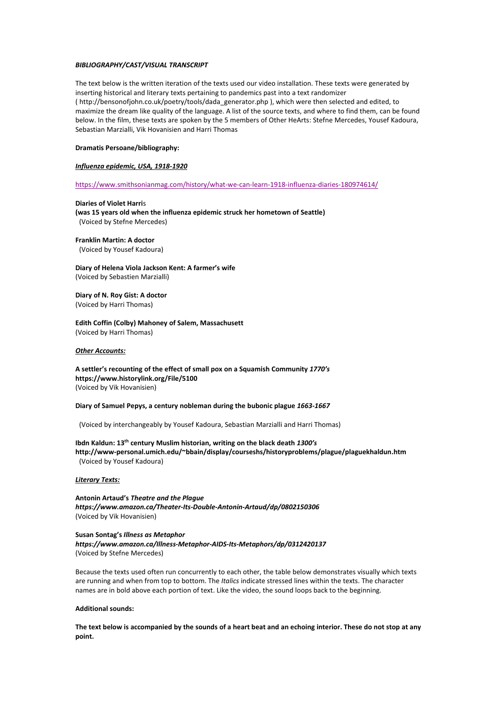### *BIBLIOGRAPHY/CAST/VISUAL TRANSCRIPT*

The text below is the written iteration of the texts used our video installation. These texts were generated by inserting historical and literary texts pertaining to pandemics past into a text randomizer ( http://bensonofjohn.co.uk/poetry/tools/dada\_generator.php ), which were then selected and edited, to maximize the dream like quality of the language. A list of the source texts, and where to find them, can be found below. In the film, these texts are spoken by the 5 members of Other HeArts: Stefne Mercedes, Yousef Kadoura, Sebastian Marzialli, Vik Hovanisien and Harri Thomas

## **Dramatis Persoane/bibliography:**

#### *Influenza epidemic, USA, 1918-1920*

<https://www.smithsonianmag.com/history/what-we-can-learn-1918-influenza-diaries-180974614/>

**Diaries of Violet Harri**s **(was 15 years old when the influenza epidemic struck her hometown of Seattle)** (Voiced by Stefne Mercedes)

**Franklin Martin: A doctor**

(Voiced by Yousef Kadoura)

**Diary of Helena Viola Jackson Kent: A farmer's wife** (Voiced by Sebastien Marzialli)

**Diary of N. Roy Gist: A doctor** (Voiced by Harri Thomas)

**Edith Coffin (Colby) Mahoney of Salem, Massachusett** (Voiced by Harri Thomas)

#### *Other Accounts:*

**A settler's recounting of the effect of small pox on a Squamish Community** *1770's* **https://www.historylink.org/File/5100** (Voiced by Vik Hovanisien)

#### **Diary of SamuelPepys, a century nobleman during the bubonic plague** *1663-1667*

(Voiced by interchangeably by Yousef Kadoura, Sebastian Marzialli and Harri Thomas)

**Ibdn Kaldun: 13 th century Muslim historian, writing on the black death** *1300's* **http://www-personal.umich.edu/~bbain/display/courseshs/historyproblems/plague/plaguekhaldun.htm** (Voiced by Yousef Kadoura)

## *Literary Texts:*

**Antonin Artaud's** *Theatre and the Plague https://www.amazon.ca/Theater-Its-Double-Antonin-Artaud/dp/0802150306* (Voiced by Vik Hovanisien)

**Susan Sontag's** *Illness as Metaphor https://www.amazon.ca/Illness-Metaphor-AIDS-Its-Metaphors/dp/0312420137* (Voiced by Stefne Mercedes)

Because the texts used often run concurrently to each other, the table below demonstrates visually which texts are running and when from top to bottom. The *Italics* indicate stressed lines within the texts. The character names are in bold above each portion of text. Like the video, the sound loops back to the beginning.

# **Additional sounds:**

The text below is accompanied by the sounds of a heart beat and an echoing interior. These do not stop at any **point.**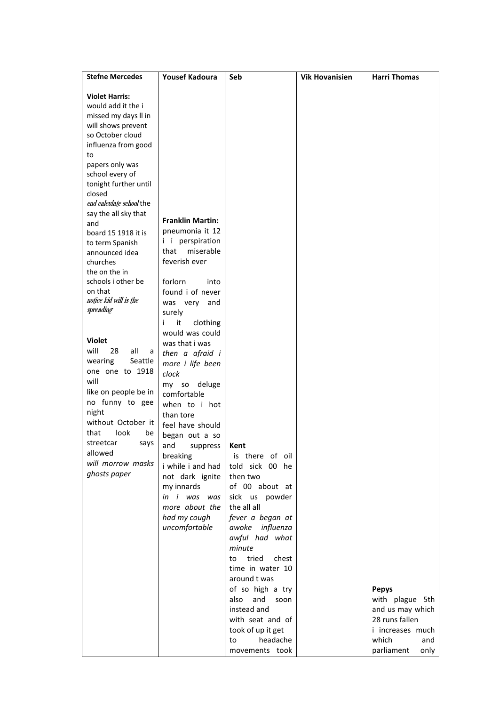| <b>Stefne Mercedes</b>                     | <b>Yousef Kadoura</b>             | Seb                      | <b>Vik Hovanisien</b> | <b>Harri Thomas</b> |
|--------------------------------------------|-----------------------------------|--------------------------|-----------------------|---------------------|
|                                            |                                   |                          |                       |                     |
| <b>Violet Harris:</b>                      |                                   |                          |                       |                     |
| would add it the i<br>missed my days II in |                                   |                          |                       |                     |
| will shows prevent                         |                                   |                          |                       |                     |
| so October cloud                           |                                   |                          |                       |                     |
| influenza from good                        |                                   |                          |                       |                     |
| to                                         |                                   |                          |                       |                     |
| papers only was                            |                                   |                          |                       |                     |
| school every of                            |                                   |                          |                       |                     |
| tonight further until                      |                                   |                          |                       |                     |
| closed                                     |                                   |                          |                       |                     |
| end calculate school the                   |                                   |                          |                       |                     |
| say the all sky that<br>and                | <b>Franklin Martin:</b>           |                          |                       |                     |
| board 15 1918 it is                        | pneumonia it 12                   |                          |                       |                     |
| to term Spanish                            | i i perspiration                  |                          |                       |                     |
| announced idea                             | miserable<br>that                 |                          |                       |                     |
| churches                                   | feverish ever                     |                          |                       |                     |
| the on the in                              |                                   |                          |                       |                     |
| schools i other be                         | forlorn<br>into                   |                          |                       |                     |
| on that                                    | found i of never                  |                          |                       |                     |
| notice kid will is the                     | was very and                      |                          |                       |                     |
| spreading                                  | surely                            |                          |                       |                     |
|                                            | it<br>clothing<br>i.              |                          |                       |                     |
| <b>Violet</b>                              | would was could                   |                          |                       |                     |
| will<br>28<br>all<br>a                     | was that i was<br>then a afraid i |                          |                       |                     |
| wearing<br>Seattle                         | more i life been                  |                          |                       |                     |
| one one to 1918                            | clock                             |                          |                       |                     |
| will                                       | my so deluge                      |                          |                       |                     |
| like on people be in                       | comfortable                       |                          |                       |                     |
| no funny to gee                            | when to i hot                     |                          |                       |                     |
| night                                      | than tore                         |                          |                       |                     |
| without October it                         | feel have should                  |                          |                       |                     |
| that<br>look<br>be                         | began out a so                    |                          |                       |                     |
| streetcar<br>says                          | and suppress   Kent               |                          |                       |                     |
| allowed                                    | breaking                          | is there of oil          |                       |                     |
| will morrow masks                          | i while i and had                 | told sick 00 he          |                       |                     |
| ghosts paper                               | not dark ignite                   | then two                 |                       |                     |
|                                            | my innards                        | of 00 about at           |                       |                     |
|                                            | in i was was                      | sick us powder           |                       |                     |
|                                            | more about the                    | the all all              |                       |                     |
|                                            | had my cough                      | fever a began at         |                       |                     |
|                                            | uncomfortable                     | awoke influenza          |                       |                     |
|                                            |                                   | awful had what<br>minute |                       |                     |
|                                            |                                   | tried<br>chest<br>to     |                       |                     |
|                                            |                                   | time in water 10         |                       |                     |
|                                            |                                   | around t was             |                       |                     |
|                                            |                                   | of so high a try         |                       | <b>Pepys</b>        |
|                                            |                                   | also<br>and<br>soon      |                       | with plague 5th     |
|                                            |                                   | instead and              |                       | and us may which    |
|                                            |                                   | with seat and of         |                       | 28 runs fallen      |
|                                            |                                   | took of up it get        |                       | i increases much    |
|                                            |                                   | headache<br>to           |                       | which<br>and        |
|                                            |                                   | movements took           |                       | parliament<br>only  |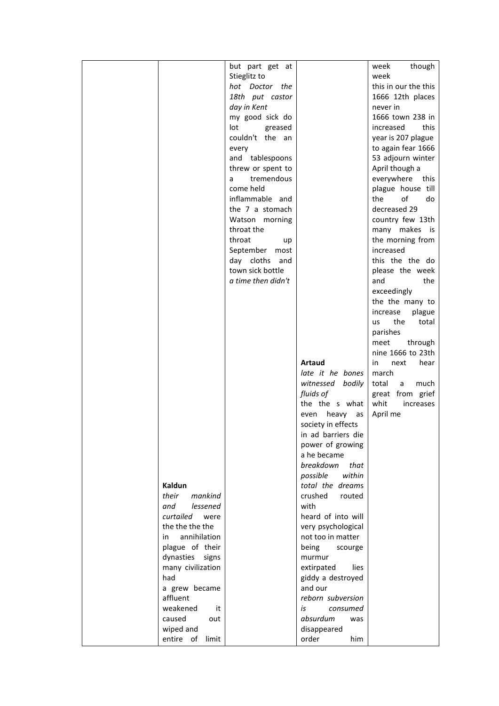|  |                     | but part get at      |                    | though<br>week              |  |
|--|---------------------|----------------------|--------------------|-----------------------------|--|
|  |                     | Stieglitz to         |                    | week                        |  |
|  |                     | hot Doctor the       |                    | this in our the this        |  |
|  |                     | 18th put castor      |                    | 1666 12th places            |  |
|  |                     | day in Kent          |                    | never in                    |  |
|  |                     | my good sick do      |                    | 1666 town 238 in            |  |
|  |                     | lot<br>greased       |                    | increased<br>this           |  |
|  |                     | couldn't the an      |                    | year is 207 plague          |  |
|  |                     | every                |                    | to again fear 1666          |  |
|  |                     | and tablespoons      |                    | 53 adjourn winter           |  |
|  |                     | threw or spent to    |                    | April though a              |  |
|  |                     | tremendous<br>a      |                    | everywhere this             |  |
|  |                     | come held            |                    | plague house till           |  |
|  |                     | inflammable and      |                    | of<br>the<br>do             |  |
|  |                     | the 7 a stomach      |                    | decreased 29                |  |
|  |                     | Watson morning       |                    | country few 13th            |  |
|  |                     | throat the           |                    | many makes is               |  |
|  |                     | throat               |                    | the morning from            |  |
|  |                     | up<br>September most |                    | increased                   |  |
|  |                     | day cloths and       |                    | this the the do             |  |
|  |                     | town sick bottle     |                    | please the week             |  |
|  |                     | a time then didn't   |                    | and<br>the                  |  |
|  |                     |                      |                    | exceedingly                 |  |
|  |                     |                      |                    |                             |  |
|  |                     |                      |                    | the the many to<br>increase |  |
|  |                     |                      |                    | plague<br>the<br>total      |  |
|  |                     |                      |                    | us                          |  |
|  |                     |                      |                    | parishes                    |  |
|  |                     |                      |                    | through<br>meet             |  |
|  |                     |                      |                    | nine 1666 to 23th           |  |
|  |                     |                      | Artaud             | next<br>in<br>hear          |  |
|  |                     |                      | late it he bones   | march                       |  |
|  |                     |                      | witnessed bodily   | total<br>much<br>a          |  |
|  |                     |                      | fluids of          | great from grief            |  |
|  |                     |                      | the the s what     | whit<br>increases           |  |
|  |                     |                      | even heavy as      | April me                    |  |
|  |                     |                      | society in effects |                             |  |
|  |                     |                      | in ad barriers die |                             |  |
|  |                     |                      | power of growing   |                             |  |
|  |                     |                      | a he became        |                             |  |
|  |                     |                      | breakdown<br>that  |                             |  |
|  |                     |                      | within<br>possible |                             |  |
|  | Kaldun              |                      | total the dreams   |                             |  |
|  | their<br>mankind    |                      | crushed<br>routed  |                             |  |
|  | and<br>lessened     |                      | with               |                             |  |
|  | curtailed were      |                      | heard of into will |                             |  |
|  | the the the the     |                      | very psychological |                             |  |
|  | annihilation<br>in. |                      | not too in matter  |                             |  |
|  | plague of their     |                      | being<br>scourge   |                             |  |
|  | dynasties signs     |                      | murmur             |                             |  |
|  | many civilization   |                      | extirpated<br>lies |                             |  |
|  | had                 |                      | giddy a destroyed  |                             |  |
|  | a grew became       |                      | and our            |                             |  |
|  | affluent            |                      | reborn subversion  |                             |  |
|  | weakened<br>it      |                      | is<br>consumed     |                             |  |
|  | caused<br>out       |                      | absurdum<br>was    |                             |  |
|  | wiped and           |                      | disappeared        |                             |  |
|  | entire of limit     |                      | order<br>him       |                             |  |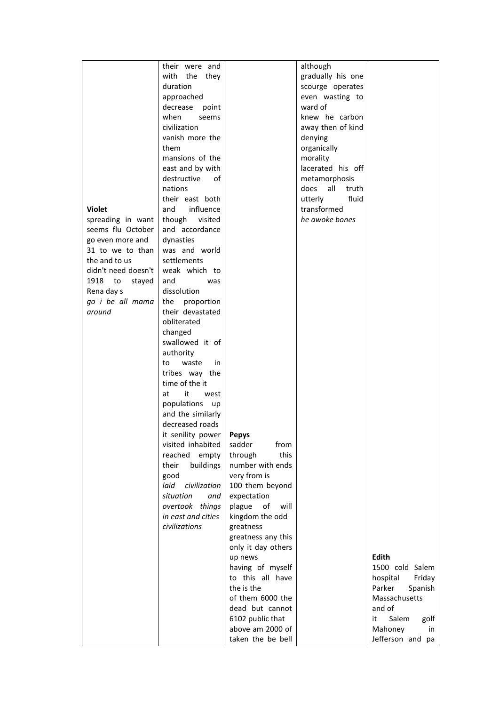|                     | their were and        |                    | although          |                     |  |
|---------------------|-----------------------|--------------------|-------------------|---------------------|--|
|                     | with the they         |                    | gradually his one |                     |  |
|                     | duration              |                    | scourge operates  |                     |  |
|                     | approached            |                    | even wasting to   |                     |  |
|                     | decrease point        |                    | ward of           |                     |  |
|                     | when<br>seems         |                    | knew he carbon    |                     |  |
|                     | civilization          |                    | away then of kind |                     |  |
|                     | vanish more the       |                    | denying           |                     |  |
|                     | them                  |                    |                   |                     |  |
|                     |                       |                    | organically       |                     |  |
|                     | mansions of the       |                    | morality          |                     |  |
|                     | east and by with      |                    | lacerated his off |                     |  |
|                     | destructive<br>of     |                    | metamorphosis     |                     |  |
|                     | nations               |                    | does all<br>truth |                     |  |
|                     | their east both       |                    | fluid<br>utterly  |                     |  |
| <b>Violet</b>       | and<br>influence      |                    | transformed       |                     |  |
| spreading in want   | though visited        |                    | he awoke bones    |                     |  |
| seems flu October   | and accordance        |                    |                   |                     |  |
| go even more and    | dynasties             |                    |                   |                     |  |
| 31 to we to than    | was and world         |                    |                   |                     |  |
| the and to us       | settlements           |                    |                   |                     |  |
| didn't need doesn't | weak which to         |                    |                   |                     |  |
| 1918 to<br>stayed   | and<br>was            |                    |                   |                     |  |
| Rena day s          | dissolution           |                    |                   |                     |  |
| go i be all mama    | the proportion        |                    |                   |                     |  |
| around              | their devastated      |                    |                   |                     |  |
|                     | obliterated           |                    |                   |                     |  |
|                     | changed               |                    |                   |                     |  |
|                     | swallowed it of       |                    |                   |                     |  |
|                     |                       |                    |                   |                     |  |
|                     | authority             |                    |                   |                     |  |
|                     | waste<br>in<br>to     |                    |                   |                     |  |
|                     | tribes way the        |                    |                   |                     |  |
|                     | time of the it        |                    |                   |                     |  |
|                     | it<br>at<br>west      |                    |                   |                     |  |
|                     | populations up        |                    |                   |                     |  |
|                     | and the similarly     |                    |                   |                     |  |
|                     | decreased roads       |                    |                   |                     |  |
|                     | it senility power $ $ | <b>Pepys</b>       |                   |                     |  |
|                     | visited inhabited     | from<br>sadder     |                   |                     |  |
|                     | reached empty         | this<br>through    |                   |                     |  |
|                     | buildings<br>their    | number with ends   |                   |                     |  |
|                     | good                  | very from is       |                   |                     |  |
|                     | laid civilization     | 100 them beyond    |                   |                     |  |
|                     | situation<br>and      | expectation        |                   |                     |  |
|                     | overtook things       | plague of will     |                   |                     |  |
|                     | in east and cities    | kingdom the odd    |                   |                     |  |
|                     | civilizations         | greatness          |                   |                     |  |
|                     |                       | greatness any this |                   |                     |  |
|                     |                       |                    |                   |                     |  |
|                     |                       | only it day others |                   |                     |  |
|                     |                       | up news            |                   | Edith               |  |
|                     |                       | having of myself   |                   | 1500 cold Salem     |  |
|                     |                       | to this all have   |                   | hospital<br>Friday  |  |
|                     |                       | the is the         |                   | Spanish<br>Parker   |  |
|                     |                       | of them 6000 the   |                   | Massachusetts       |  |
|                     |                       | dead but cannot    |                   | and of              |  |
|                     |                       | 6102 public that   |                   | Salem<br>it<br>golf |  |
|                     |                       | above am 2000 of   |                   | Mahoney<br>in       |  |
|                     |                       | taken the be bell  |                   | Jefferson and pa    |  |
|                     |                       |                    |                   |                     |  |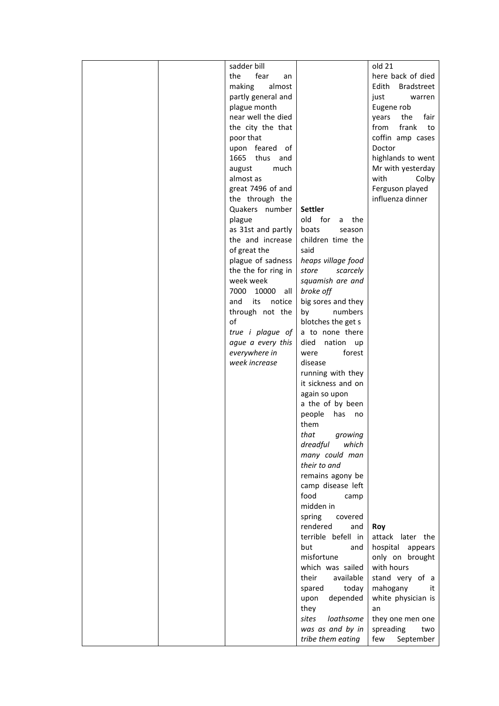|  | sadder bill           |                                         | old 21                     |  |
|--|-----------------------|-----------------------------------------|----------------------------|--|
|  | the<br>fear<br>an     |                                         | here back of died          |  |
|  | making<br>almost      |                                         | Edith<br><b>Bradstreet</b> |  |
|  | partly general and    |                                         | just<br>warren             |  |
|  | plague month          |                                         | Eugene rob                 |  |
|  | near well the died    |                                         | fair<br>the<br>years       |  |
|  | the city the that     |                                         | frank<br>from<br>to        |  |
|  | poor that             |                                         | coffin amp cases           |  |
|  | upon feared of        |                                         | Doctor                     |  |
|  | 1665 thus and         |                                         | highlands to went          |  |
|  | much<br>august        |                                         | Mr with yesterday          |  |
|  | almost as             |                                         | with<br>Colby              |  |
|  | great 7496 of and     |                                         | Ferguson played            |  |
|  | the through the       |                                         | influenza dinner           |  |
|  | Quakers number        | Settler                                 |                            |  |
|  | plague                | old for<br>a<br>the                     |                            |  |
|  | as 31st and partly    | boats<br>season                         |                            |  |
|  | the and increase      | children time the                       |                            |  |
|  | of great the          | said                                    |                            |  |
|  | plague of sadness     | heaps village food                      |                            |  |
|  | the the for ring in   | store<br>scarcely                       |                            |  |
|  | week week             | squamish are and                        |                            |  |
|  | 7000 10000<br>all     | broke off                               |                            |  |
|  | and<br>its notice     | big sores and they                      |                            |  |
|  | through not the<br>of | by<br>numbers                           |                            |  |
|  |                       | blotches the get s                      |                            |  |
|  | true i plague of      | a to none there                         |                            |  |
|  | ague a every this     | died<br>nation<br>up                    |                            |  |
|  | everywhere in         | were<br>forest                          |                            |  |
|  | week increase         | disease                                 |                            |  |
|  |                       | running with they<br>it sickness and on |                            |  |
|  |                       | again so upon                           |                            |  |
|  |                       | a the of by been                        |                            |  |
|  |                       | people<br>has<br>no                     |                            |  |
|  |                       | them                                    |                            |  |
|  |                       | that<br>growing                         |                            |  |
|  |                       | dreadful<br>which                       |                            |  |
|  |                       | many could man                          |                            |  |
|  |                       | their to and                            |                            |  |
|  |                       | remains agony be                        |                            |  |
|  |                       | camp disease left                       |                            |  |
|  |                       | food<br>camp                            |                            |  |
|  |                       | midden in                               |                            |  |
|  |                       | spring<br>covered                       |                            |  |
|  |                       | rendered<br>and                         | Roy                        |  |
|  |                       | terrible befell in                      | attack later the           |  |
|  |                       | but<br>and                              | hospital appears           |  |
|  |                       | misfortune                              | only on brought            |  |
|  |                       | which was sailed                        | with hours                 |  |
|  |                       | their<br>available                      | stand very of a            |  |
|  |                       | spared<br>today                         | mahogany<br>it             |  |
|  |                       | depended<br>upon                        | white physician is         |  |
|  |                       | they                                    | an                         |  |
|  |                       | loathsome<br>sites                      | they one men one           |  |
|  |                       | was as and by in                        | spreading<br>two           |  |
|  |                       | tribe them eating                       | few<br>September           |  |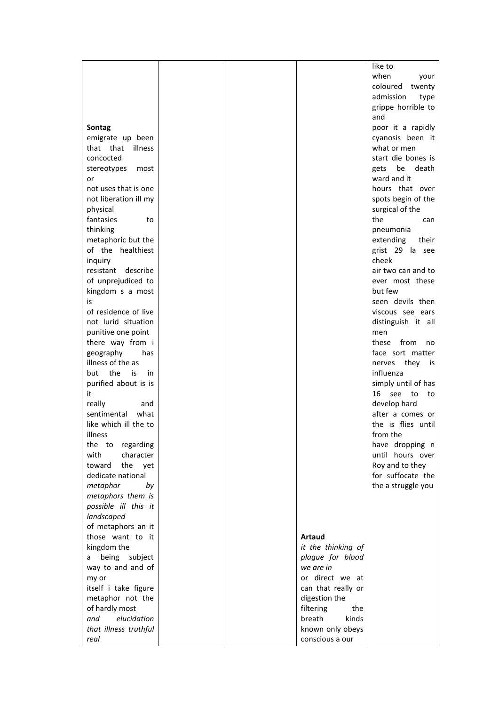|                       |  |                    | like to             |
|-----------------------|--|--------------------|---------------------|
|                       |  |                    | when<br>your        |
|                       |  |                    | coloured twenty     |
|                       |  |                    | admission<br>type   |
|                       |  |                    | grippe horrible to  |
|                       |  |                    | and                 |
| Sontag                |  |                    | poor it a rapidly   |
| emigrate up been      |  |                    | cyanosis been it    |
| that that illness     |  |                    | what or men         |
| concocted             |  |                    | start die bones is  |
| stereotypes<br>most   |  |                    | gets be death       |
| or                    |  |                    | ward and it         |
| not uses that is one  |  |                    | hours that over     |
| not liberation ill my |  |                    | spots begin of the  |
| physical              |  |                    | surgical of the     |
| fantasies<br>to       |  |                    | the<br>can          |
| thinking              |  |                    | pneumonia           |
| metaphoric but the    |  |                    | extending<br>their  |
| of the healthiest     |  |                    | grist 29 la see     |
| inquiry               |  |                    | cheek               |
| resistant describe    |  |                    | air two can and to  |
| of unprejudiced to    |  |                    | ever most these     |
| kingdom s a most      |  |                    | but few             |
| is                    |  |                    | seen devils then    |
| of residence of live  |  |                    | viscous see ears    |
| not lurid situation   |  |                    | distinguish it all  |
| punitive one point    |  |                    | men                 |
| there way from i      |  |                    | these from no       |
| geography<br>has      |  |                    | face sort matter    |
| illness of the as     |  |                    | nerves they is      |
| but the is<br>in      |  |                    | influenza           |
| purified about is is  |  |                    | simply until of has |
| it                    |  |                    | 16 see to<br>to     |
| really<br>and         |  |                    | develop hard        |
| sentimental<br>what   |  |                    | after a comes or    |
| like which ill the to |  |                    | the is flies until  |
| illness               |  |                    | from the            |
| the to regarding      |  |                    | have dropping n     |
| with<br>character     |  |                    | until hours over    |
| the yet<br>toward     |  |                    | Roy and to they     |
| dedicate national     |  |                    | for suffocate the   |
| metaphor<br>by        |  |                    | the a struggle you  |
| metaphors them is     |  |                    |                     |
| possible ill this it  |  |                    |                     |
| landscaped            |  |                    |                     |
| of metaphors an it    |  |                    |                     |
| those want to it      |  | <b>Artaud</b>      |                     |
| kingdom the           |  | it the thinking of |                     |
| a being subject       |  | plague for blood   |                     |
| way to and and of     |  | we are in          |                     |
| my or                 |  | or direct we at    |                     |
| itself i take figure  |  | can that really or |                     |
| metaphor not the      |  | digestion the      |                     |
| of hardly most        |  | filtering<br>the   |                     |
| elucidation<br>and    |  | kinds<br>breath    |                     |
| that illness truthful |  | known only obeys   |                     |
| real                  |  | conscious a our    |                     |
|                       |  |                    |                     |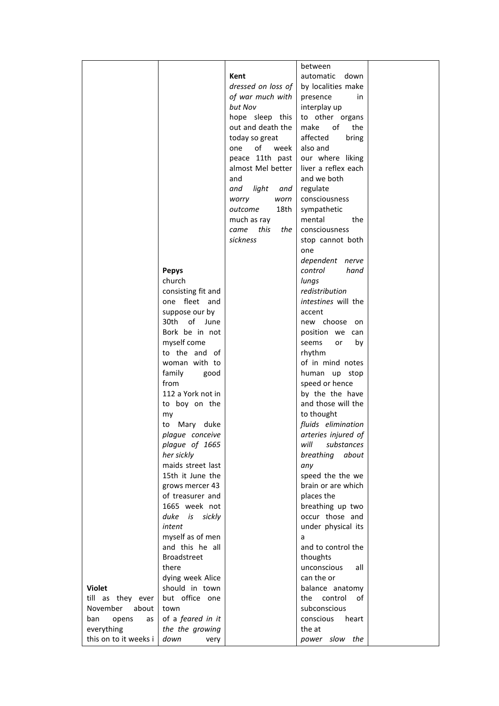|                                        |                                  |                    | between                              |  |
|----------------------------------------|----------------------------------|--------------------|--------------------------------------|--|
|                                        |                                  | Kent               | automatic<br>down                    |  |
|                                        |                                  | dressed on loss of | by localities make                   |  |
|                                        |                                  | of war much with   | presence<br>in.                      |  |
|                                        |                                  | but Nov            | interplay up                         |  |
|                                        |                                  | hope sleep this    | to other organs                      |  |
|                                        |                                  | out and death the  | make<br>of<br>the                    |  |
|                                        |                                  | today so great     | affected<br>bring                    |  |
|                                        |                                  | of<br>one<br>week  | also and                             |  |
|                                        |                                  | peace 11th past    | our where liking                     |  |
|                                        |                                  | almost Mel better  | liver a reflex each                  |  |
|                                        |                                  | and                | and we both                          |  |
|                                        |                                  | and light<br>and   | regulate                             |  |
|                                        |                                  | worry<br>worn      | consciousness                        |  |
|                                        |                                  | 18th<br>outcome    | sympathetic                          |  |
|                                        |                                  | much as ray        | mental<br>the                        |  |
|                                        |                                  | came this<br>the   | consciousness                        |  |
|                                        |                                  | sickness           | stop cannot both                     |  |
|                                        |                                  |                    | one                                  |  |
|                                        |                                  |                    | dependent nerve                      |  |
|                                        | <b>Pepys</b>                     |                    | control<br>hand                      |  |
|                                        | church                           |                    | lungs                                |  |
|                                        | consisting fit and               |                    | redistribution                       |  |
|                                        | one fleet and                    |                    | intestines will the                  |  |
|                                        | suppose our by                   |                    | accent                               |  |
|                                        | of<br>30th<br>June               |                    | new choose<br>on                     |  |
|                                        | Bork be in not                   |                    | position we can                      |  |
|                                        | myself come                      |                    | seems<br>or<br>by                    |  |
|                                        | to the and of                    |                    | rhythm                               |  |
|                                        | woman with to                    |                    | of in mind notes                     |  |
|                                        | family<br>good                   |                    | human up stop                        |  |
|                                        | from                             |                    | speed or hence                       |  |
|                                        | 112 a York not in                |                    | by the the have                      |  |
|                                        | to boy on the                    |                    | and those will the                   |  |
|                                        | my                               |                    | to thought                           |  |
|                                        | Mary duke<br>to                  |                    | fluids elimination                   |  |
|                                        | plague conceive                  |                    | arteries injured of                  |  |
|                                        | plague of 1665                   |                    | will<br>substances                   |  |
|                                        | her sickly                       |                    | breathing<br>about                   |  |
|                                        | maids street last                |                    | any                                  |  |
|                                        | 15th it June the                 |                    | speed the the we                     |  |
|                                        | grows mercer 43                  |                    | brain or are which                   |  |
|                                        | of treasurer and                 |                    | places the                           |  |
|                                        | 1665 week not                    |                    | breathing up two                     |  |
|                                        | duke is sickly                   |                    | occur those and                      |  |
|                                        | intent                           |                    | under physical its                   |  |
|                                        | myself as of men                 |                    | a                                    |  |
|                                        | and this he all                  |                    | and to control the                   |  |
|                                        | <b>Broadstreet</b>               |                    | thoughts                             |  |
|                                        | there                            |                    | unconscious<br>all                   |  |
| <b>Violet</b>                          | dying week Alice                 |                    | can the or                           |  |
|                                        | should in town<br>but office one |                    | balance anatomy<br>the control<br>of |  |
| till as they ever<br>November<br>about | town                             |                    | subconscious                         |  |
| ban<br>opens<br>as                     | of a feared in it                |                    | conscious<br>heart                   |  |
| everything                             | the the growing                  |                    | the at                               |  |
| this on to it weeks i                  | down<br>very                     |                    | power slow the                       |  |
|                                        |                                  |                    |                                      |  |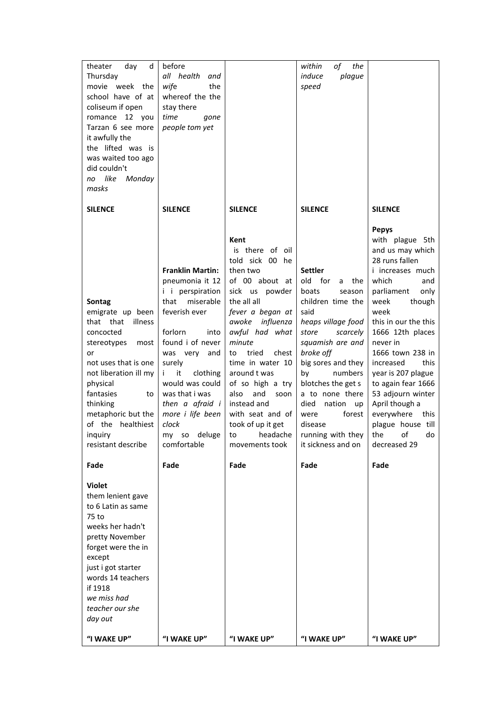| d<br>theater<br>day<br>Thursday<br>movie week the<br>school have of at<br>coliseum if open<br>romance 12 you<br>Tarzan 6 see more<br>it awfully the<br>the lifted was is<br>was waited too ago<br>did couldn't<br>no like<br>Monday<br>masks                         | before<br>all health<br>and<br>wife<br>the<br>whereof the the<br>stay there<br>time<br>gone<br>people tom yet                                                                                                                                                                                     |                                                                                                                                                                                                                                                                                                                                                                                                                                            | of<br>within<br>the<br>induce<br>plague<br>speed                                                                                                                                                                                                                                                                       |                                                                                                                                                                                                                                                                                                                                                                                                             |  |
|----------------------------------------------------------------------------------------------------------------------------------------------------------------------------------------------------------------------------------------------------------------------|---------------------------------------------------------------------------------------------------------------------------------------------------------------------------------------------------------------------------------------------------------------------------------------------------|--------------------------------------------------------------------------------------------------------------------------------------------------------------------------------------------------------------------------------------------------------------------------------------------------------------------------------------------------------------------------------------------------------------------------------------------|------------------------------------------------------------------------------------------------------------------------------------------------------------------------------------------------------------------------------------------------------------------------------------------------------------------------|-------------------------------------------------------------------------------------------------------------------------------------------------------------------------------------------------------------------------------------------------------------------------------------------------------------------------------------------------------------------------------------------------------------|--|
| <b>SILENCE</b>                                                                                                                                                                                                                                                       | <b>SILENCE</b>                                                                                                                                                                                                                                                                                    | <b>SILENCE</b>                                                                                                                                                                                                                                                                                                                                                                                                                             | <b>SILENCE</b>                                                                                                                                                                                                                                                                                                         | <b>SILENCE</b>                                                                                                                                                                                                                                                                                                                                                                                              |  |
| Sontag<br>emigrate up been<br>that that<br>illness<br>concocted<br>stereotypes<br>most<br>or<br>not uses that is one<br>not liberation ill my<br>physical<br>fantasies<br>to<br>thinking<br>metaphoric but the<br>of the healthiest<br>inquiry<br>resistant describe | <b>Franklin Martin:</b><br>pneumonia it 12<br><i>i</i> i perspiration<br>that miserable<br>feverish ever<br>forlorn<br>into<br>found i of never<br>was very and<br>surely<br>i it<br>clothing<br>would was could<br>was that i was<br>then a afraid i<br>more i life been<br>clock<br>comfortable | Kent<br>is there of oil<br>told sick 00 he<br>then two<br>of 00 about at<br>sick us powder<br>the all all<br>fever a began at<br>awoke influenza<br>awful had what<br>minute<br>to<br>tried<br>chest<br>time in water 10<br>around t was<br>of so high a try<br>and<br>also<br>soon<br>instead and<br>with seat and of<br>took of up it get<br>my so deluge $\vert$ to headache $\vert$ running with they $\vert$ the of<br>movements took | <b>Settler</b><br>old for<br>a<br>the<br>boats<br>season<br>children time the<br>said<br>heaps village food<br>store<br>scarcely<br>squamish are and<br>broke off<br>big sores and they<br>numbers<br>by<br>blotches the get s<br>a to none there<br>died nation up<br>forest<br>were<br>disease<br>it sickness and on | <b>Pepys</b><br>with plague 5th<br>and us may which<br>28 runs fallen<br>i increases much<br>which<br>and<br>parliament<br>only<br>week<br>though<br>week<br>this in our the this<br>1666 12th places<br>never in<br>1666 town 238 in<br>increased<br>this<br>year is 207 plague<br>to again fear 1666<br>53 adjourn winter<br>April though a<br>everywhere this<br>plague house till<br>do<br>decreased 29 |  |
| Fade                                                                                                                                                                                                                                                                 | Fade                                                                                                                                                                                                                                                                                              | Fade                                                                                                                                                                                                                                                                                                                                                                                                                                       | Fade                                                                                                                                                                                                                                                                                                                   | Fade                                                                                                                                                                                                                                                                                                                                                                                                        |  |
| <b>Violet</b><br>them lenient gave<br>to 6 Latin as same<br>75 to<br>weeks her hadn't<br>pretty November<br>forget were the in<br>except<br>just i got starter<br>words 14 teachers<br>if 1918<br>we miss had<br>teacher our she<br>day out                          |                                                                                                                                                                                                                                                                                                   |                                                                                                                                                                                                                                                                                                                                                                                                                                            |                                                                                                                                                                                                                                                                                                                        |                                                                                                                                                                                                                                                                                                                                                                                                             |  |
| "I WAKE UP"                                                                                                                                                                                                                                                          | "I WAKE UP"                                                                                                                                                                                                                                                                                       | "I WAKE UP"                                                                                                                                                                                                                                                                                                                                                                                                                                | "I WAKE UP"                                                                                                                                                                                                                                                                                                            | "I WAKE UP"                                                                                                                                                                                                                                                                                                                                                                                                 |  |